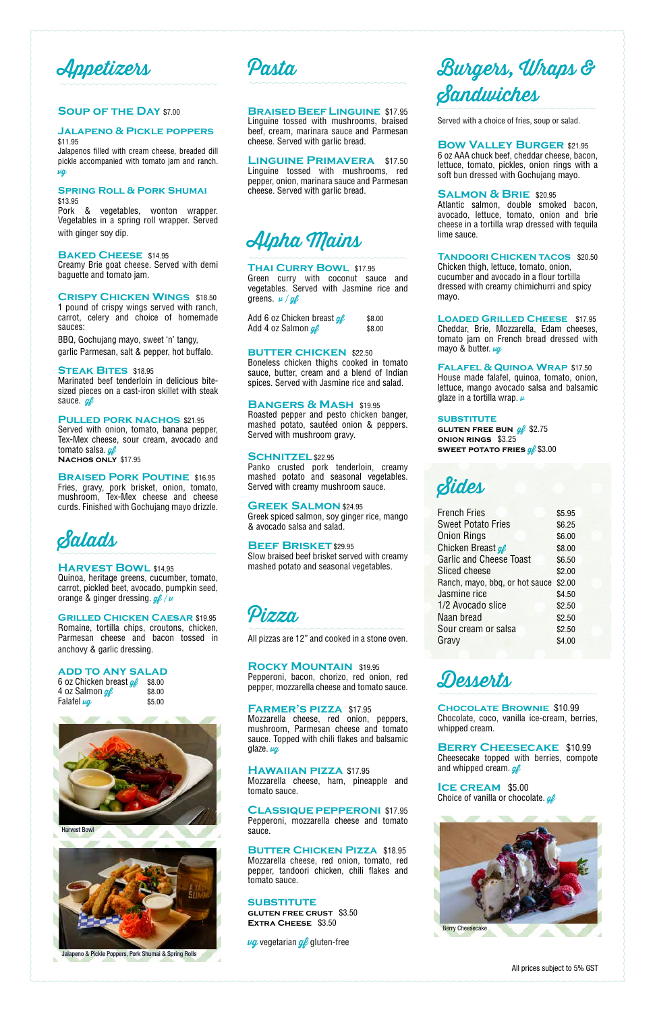Appetizers

#### **Soup of the Day** \$7.00

### **Jalapeno & Pickle poppers** \$11.95

Jalapenos filled with cream cheese, breaded dill pickle accompanied with tomato jam and ranch. vg

#### **Spring Roll & Pork Shumai** \$13.95

Pork & vegetables, wonton wrapper. Vegetables in a spring roll wrapper. Served with ginger soy dip.

Marinated beef tenderloin in delicious bitesized pieces on a cast-iron skillet with steak sauce. ge

#### **Baked Cheese** \$14.95

Creamy Brie goat cheese. Served with demi baguette and tomato jam.

Served with onion, tomato, banana pepper, Tex-Mex cheese, sour cream, avocado and tomato salsa.  $q\ell$ 

#### **Crispy Chicken Wings** \$18.50

1 pound of crispy wings served with ranch, carrot, celery and choice of homemade sauces:

#### **BRAISED PORK POUTINE \$16.95** Fries, gravy, pork brisket, onion, tomato, mushroom, Tex-Mex cheese and cheese curds. Finished with Gochujang mayo drizzle.

Quinoa, heritage greens, cucumber, tomato, carrot, pickled beet, avocado, pumpkin seed, orange & ginger dressing.  $g_{\ell} / \nu$ 

BBQ, Gochujang mayo, sweet 'n' tangy, garlic Parmesan, salt & pepper, hot buffalo.

#### **Steak Bites** \$18.95

#### **Pulled pork nachos** \$21.95

**Nachos only** \$17.95

Green curry with coconut sauce and vegetables. Served with Jasmine rice and greens.  $\nu / g \ell$ 

Add 6 oz Chicken breast  $q\ell$  \$8.00 Add 4 oz Salmon  $\mathscr{A}$  \$8.00

#### **BUTTER CHICKEN \$22.50**



#### **Harvest Bowl** \$14.95

#### **Grilled Chicken Caesar** \$19.95

Romaine, tortilla chips, croutons, chicken, Parmesan cheese and bacon tossed in anchovy & garlic dressing.

#### **add to any salad**

| 6 oz Chicken breast <i>gf</i> | \$8.00 |
|-------------------------------|--------|
| 4 oz Salmon <i>gf</i>         | \$8.00 |
| Falafel <i>µg</i>             | \$5.00 |

## Pasta

#### **Braised Beef Linguine** \$17.95

Linguine tossed with mushrooms, braised beef, cream, marinara sauce and Parmesan cheese. Served with garlic bread.

**Linguine Primavera** \$17.50 Linguine tossed with mushrooms, red pepper, onion, marinara sauce and Parmesan cheese. Served with garlic bread.



#### **Thai Curry Bowl** \$17.95

**Loaded Grilled Cheese** \$17.95 Cheddar, Brie, Mozzarella, Edam cheeses, tomato jam on French bread dressed with mayo & butter.  $\mu q$ 

**Falafel & Quinoa Wrap** \$17.50 House made falafel, quinoa, tomato, onion, lettuce, mango avocado salsa and balsamic glaze in a tortilla wrap.  $\nu$ 

Boneless chicken thighs cooked in tomato sauce, butter, cream and a blend of Indian spices. Served with Jasmine rice and salad.

#### **Bangers & Mash** \$19.95

Roasted pepper and pesto chicken banger, mashed potato, sautéed onion & peppers. Served with mushroom gravy.

#### **Schnitzel** \$22.95

Panko crusted pork tenderloin, creamy mashed potato and seasonal vegetables. Served with creamy mushroom sauce.

> **Berry Cheesecake** \$10.99 Cheesecake topped with berries, compote and whipped cream.  $g_{\ell}$

**Ice cream** \$5.00 Choice of vanilla or chocolate.  $g_{\ell}$ 

#### **Greek Salmon** \$24.95

Greek spiced salmon, soy ginger rice, mango & avocado salsa and salad.

#### **BEEF BRISKET** \$29.95

Slow braised beef brisket served with creamy mashed potato and seasonal vegetables.



All pizzas are 12" and cooked in a stone oven.

#### **Rocky Mountain** \$19.95 Pepperoni, bacon, chorizo, red onion, red

pepper, mozzarella cheese and tomato sauce.

#### **Farmer's pizza** \$17.95

Mozzarella cheese, red onion, peppers, mushroom, Parmesan cheese and tomato sauce. Topped with chili flakes and balsamic

#### **Hawaiian pizza** \$17.95

Mozzarella cheese, ham, pineapple and tomato sauce.

### **Classique pepperoni** \$17.95

Pepperoni, mozzarella cheese and tomato sauce.

#### **Butter Chicken Pizza** \$18.95

Mozzarella cheese, red onion, tomato, red pepper, tandoori chicken, chili flakes and tomato sauce.

#### **SUBSTITUTE**

**gluten free crust** \$3.50 **Extra Cheese** \$3.50

 $\nu q$  vegetarian  $q\ll$  gluten-free

## Burgers, Wraps & Sandwiches

Served with a choice of fries, soup or salad.

#### **Bow Valley Burger** \$21.95

6 oz AAA chuck beef, cheddar cheese, bacon, lettuce, tomato, pickles, onion rings with a soft bun dressed with Gochujang mayo.

#### **SALMON & BRIE** \$20.95

Atlantic salmon, double smoked bacon, avocado, lettuce, tomato, onion and brie cheese in a tortilla wrap dressed with tequila lime sauce.

**Tandoori Chicken tacos** \$20.50 Chicken thigh, lettuce, tomato, onion, cucumber and avocado in a flour tortilla dressed with creamy chimichurri and spicy mayo.

#### **substitute**

**GLUTEN FREE BUN** *gl* \$2.75 **onion rings** \$3.25 **SWEET POTATO FRIES**  $g_f$  **\$3.00** 



| <b>French Fries</b>            | \$5.95 |
|--------------------------------|--------|
| <b>Sweet Potato Fries</b>      | \$6.25 |
| <b>Onion Rings</b>             | \$6.00 |
| Chicken Breast of              | \$8.00 |
| <b>Garlic and Cheese Toast</b> | \$6.50 |
| Sliced cheese                  | \$2.00 |
| Ranch, mayo, bbq, or hot sauce | \$2.00 |
| Jasmine rice                   | \$4.50 |
| 1/2 Avocado slice              | \$2.50 |
| Naan bread                     | \$2.50 |
| Sour cream or salsa            | \$2.50 |
| Gravy                          | \$4.00 |



**Chocolate Brownie** \$10.99 Chocolate, coco, vanilla ice-cream, berries, whipped cream.

All prices subject to 5% GST





Jalapeno & Pickle Poppers, Pork Shumai & Spring Rolls

glaze. vg